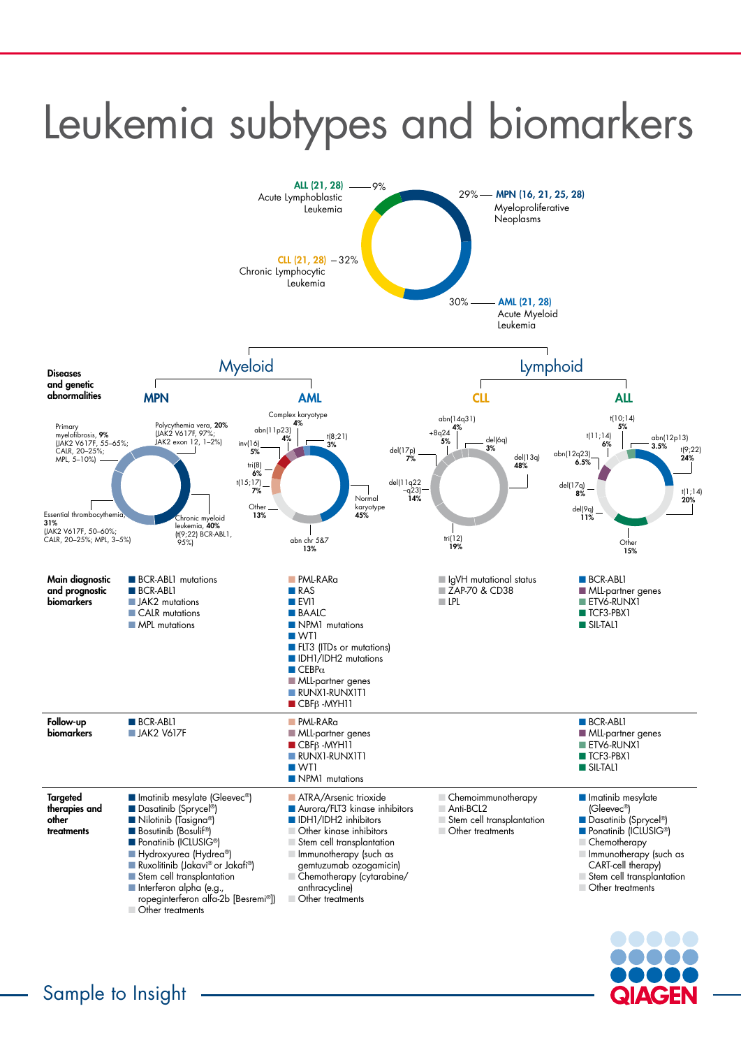

## Leukemia subtypes and biomarkers

| <b>Main diagnostic</b> |
|------------------------|
| and prognostic         |
| <b>biomarkers</b>      |

Follow-up

**Targeted** 

biomarkers

**N** BCR-ABL1 mu **N** BCR-ABL1 **N** JAK2 mutations **N** CALR mutation **NPL mutations** 

therapies and

other

treatments

| <b>BCR-ABL1</b> mutations<br><b>BCR-ABLI</b><br><b>JAK2</b> mutations<br>CALR mutations<br><b>MPL mutations</b>                | <b>PML-RARa</b><br>$\blacksquare$ RAS<br>$\blacksquare$ EVI1<br><b>BAALC</b><br>NPM1 mutations<br>$\blacksquare$ WT1<br><b>EXTERNAL FLT3 (ITDs or mutations)</b><br>DH1/IDH2 mutations<br>$\blacksquare$ CEBP $\alpha$<br>MLL-partner genes<br>$\blacksquare$ RUNX1-RUNX1T1<br>$\blacksquare$ CBF $\beta$ -MYH11 | ■ IgVH mutational status<br>■ ZAP-70 & CD38<br>$\blacksquare$ LPL                       | <b>BCR-ABLI</b><br>MLL-partner genes<br>ETV6-RUNX1<br><b>■ TCF3-PBX1</b><br>$\blacksquare$ SIL-TAL1                       |
|--------------------------------------------------------------------------------------------------------------------------------|------------------------------------------------------------------------------------------------------------------------------------------------------------------------------------------------------------------------------------------------------------------------------------------------------------------|-----------------------------------------------------------------------------------------|---------------------------------------------------------------------------------------------------------------------------|
| <b>BCR-ABLI</b><br>$\blacksquare$ JAK2 V617F                                                                                   | <b>NE PML-RARO</b><br><b>MLL-partner genes</b><br>$\blacksquare$ CBF $\beta$ -MYH11<br>RUNX1-RUNX1T1<br>$\blacksquare$ WT1<br>NPM1 mutations                                                                                                                                                                     |                                                                                         | BCR-ABL1<br>MLL-partner genes<br>ETV6-RUNX1<br><b>TCF3-PBX1</b><br>$\blacksquare$ SIL-TAL1                                |
| Inatinib mesylate (Gleevec®)<br>Dasatinib (Sprycel <sup>®</sup> )<br>Nilotinib (Tasigna®)<br>Bosutinib (Bosulif <sup>®</sup> ) | ATRA/Arsenic trioxide<br>Aurora/FLT3 kinase inhibitors<br>DH1/IDH2 inhibitors<br>Other kinase inhibitors                                                                                                                                                                                                         | Chemoimmunotherapy<br>$\Box$ Anti-BCL2<br>Stem cell transplantation<br>Other treatments | <b>Industrib</b> mesylate<br>$(Glevec^{\circ})$<br>Dasatinib (Sprycel <sup>®</sup> )<br>Ponatinib (ICLUSIG <sup>®</sup> ) |

**n** Ponatinib (ICLUSIG®) ■ Hydroxyurea (Hydrea®) ■ Ruxolitinib (Jakavi® or Jakafi®) **n Stem cell transplantation nd** Interferon alpha (e.g., ropeginterferon alfa-2b [Besremi®]) **n Other treatments** 

**Stem cell transplantation**  $\blacksquare$  Immunotherapy (such as gemtuzumab ozogamicin) n Chemotherapy (cytarabine/ anthracycline) **Normally Other treatments** 

**Chemotherapy n Immunotherapy (such as** CART-cell therapy) **n Stem cell transplantation n** Other treatments